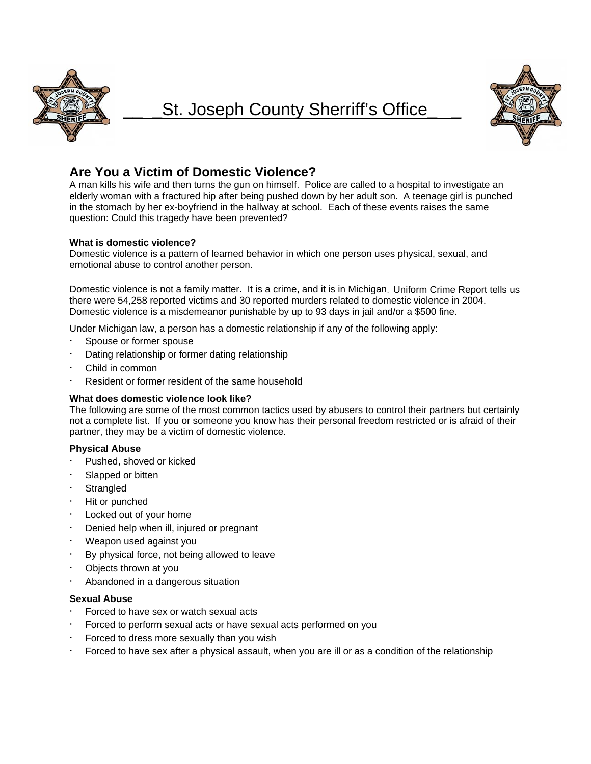

# St. Joseph County Sherriff's Office



# **Are You a Victim of Domestic Violence?**

A man kills his wife and then turns the gun on himself. Police are called to a hospital to investigate an elderly woman with a fractured hip after being pushed down by her adult son. A teenage girl is punched in the stomach by her ex-boyfriend in the hallway at school. Each of these events raises the same question: Could this tragedy have been prevented?

## **What is domestic violence?**

Domestic violence is a pattern of learned behavior in which one person uses physical, sexual, and emotional abuse to control another person.

Domestic violence is not a family matter. It is a crime, and it is in Michigan. Uniform Crime Report tells us there were 54,258 reported victims and 30 reported murders related to domestic violence in 2004. Domestic violence is a misdemeanor punishable by up to 93 days in jail and/or a \$500 fine.

Under Michigan law, a person has a domestic relationship if any of the following apply:

- Spouse or former spouse
- Dating relationship or former dating relationship
- Child in common
- Resident or former resident of the same household

#### **What does domestic violence look like?**

The following are some of the most common tactics used by abusers to control their partners but certainly not a complete list. If you or someone you know has their personal freedom restricted or is afraid of their partner, they may be a victim of domestic violence.

# **Physical Abuse**

- Pushed, shoved or kicked
- Slapped or bitten
- **Strangled**
- Hit or punched
- Locked out of your home
- Denied help when ill, injured or pregnant
- Weapon used against you
- By physical force, not being allowed to leave
- Objects thrown at you
- Abandoned in a dangerous situation

#### **Sexual Abuse**

- Forced to have sex or watch sexual acts
- Forced to perform sexual acts or have sexual acts performed on you
- Forced to dress more sexually than you wish
- Forced to have sex after a physical assault, when you are ill or as a condition of the relationship